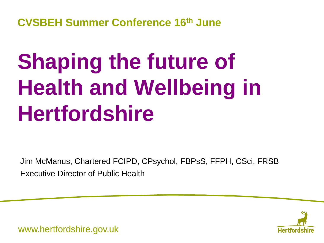**CVSBEH Summer Conference 16th June**

## **Shaping the future of Health and Wellbeing in Hertfordshire**

Jim McManus, Chartered FCIPD, CPsychol, FBPsS, FFPH, CSci, FRSB Executive Director of Public Health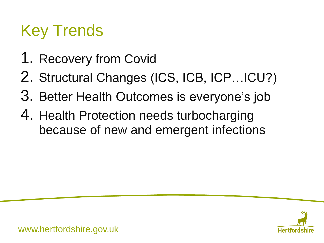## Key Trends

- 1. Recovery from Covid
- 2. Structural Changes (ICS, ICB, ICP…ICU?)
- 3. Better Health Outcomes is everyone's job
- 4. Health Protection needs turbocharging because of new and emergent infections

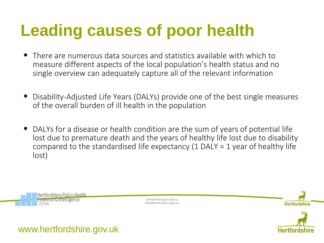## **Leading causes of poor health**

- There are numerous data sources and statistics available with which to measure different aspects of the local population's health status and no single overview can adequately capture all of the relevant information
- Disability-Adjusted Life Years (DALYs) provide one of the best single measures of the overall burden of ill health in the population
- DALYs for a disease or health condition are the sum of years of potential life lost due to premature death and the years of healthy life lost due to disability compared to the standardised life expectancy (1 DALY = 1 year of healthy life lost)



hertfordshire.gov.uk/jsna JSNA@hertfordshire.gov.uk

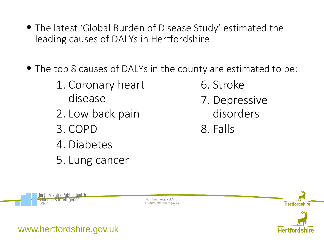- The latest 'Global Burden of Disease Study' estimated the leading causes of DALYs in Hertfordshire
- The top 8 causes of DALYs in the county are estimated to be:
	- 1. Coronary heart disease
	- 2. Low back pain
	- 3. COPD
	- 4. Diabetes
	- 5. Lung cancer
- 6. Stroke
- 7. Depressive disorders
- 8. Falls



hertfordshire.gov.uk/jsna JSNA@hertfordshire.gov.uk

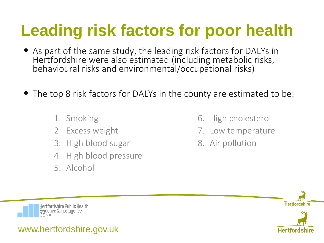## **Leading risk factors for poor health**

- As part of the same study, the leading risk factors for DALYs in Hertfordshire were also estimated (including metabolic risks, behavioural risks and environmental/occupational risks)
- The top 8 risk factors for DALYs in the county are estimated to be:
	- 1. Smoking
	- 2. Excess weight
	- 3. High blood sugar
	- 4. High blood pressure
	- 5. Alcohol
- 6. High cholesterol
- 7. Low temperature
- 8. Air pollution

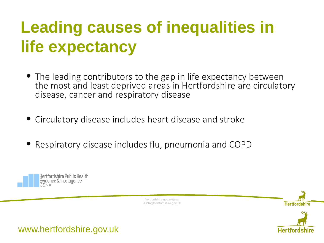## **Leading causes of inequalities in life expectancy**

- The leading contributors to the gap in life expectancy between the most and least deprived areas in Hertfordshire are circulatory disease, cancer and respiratory disease
- Circulatory disease includes heart disease and stroke
- Respiratory disease includes flu, pneumonia and COPD



hertfordshire.gov.uk/jsna JSNA@hertfordshire.gov.uk

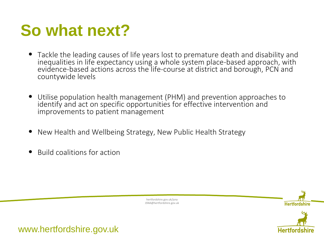## **So what next?**

- Tackle the leading causes of life years lost to premature death and disability and inequalities in life expectancy using a whole system place-based approach, with evidence-based actions across the life-course at district and borough, PCN and countywide levels
- Utilise population health management (PHM) and prevention approaches to identify and act on specific opportunities for effective intervention and improvements to patient management
- New Health and Wellbeing Strategy, New Public Health Strategy
- Build coalitions for action

hertfordshire.gov.uk/jsna JSNA@hertfordshire.gov.uk



**Hertfordshir**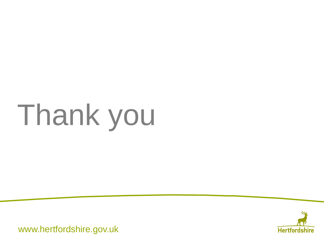# Thank you